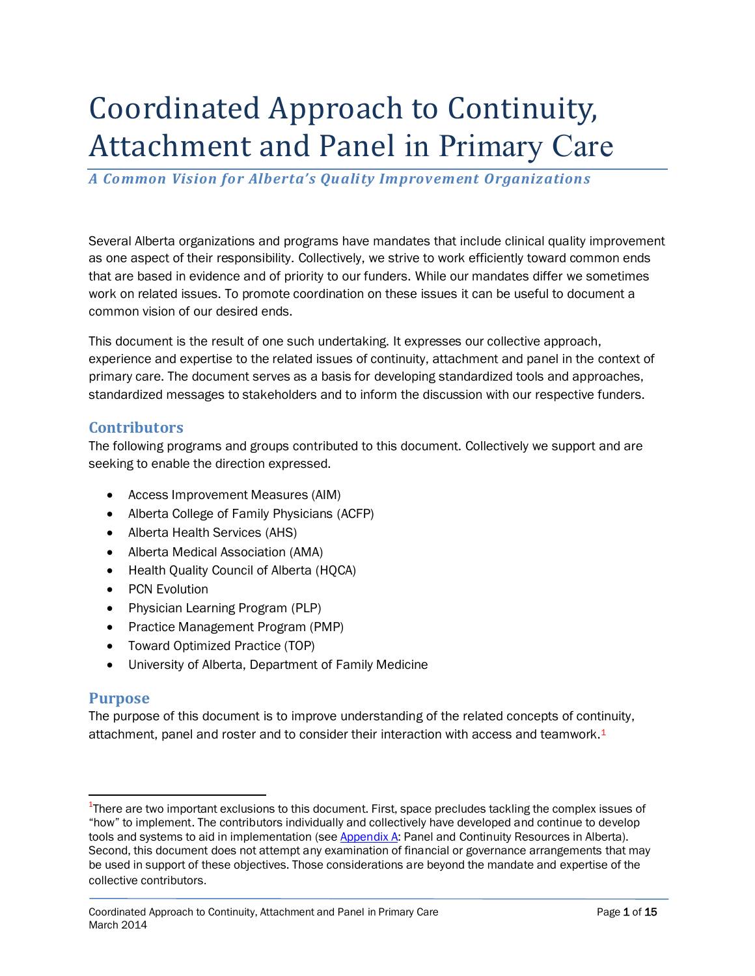# Coordinated Approach to Continuity, Attachment and Panel in Primary Care

*A Common Vision for Alberta's Quality Improvement Organizations*

Several Alberta organizations and programs have mandates that include clinical quality improvement as one aspect of their responsibility. Collectively, we strive to work efficiently toward common ends that are based in evidence and of priority to our funders. While our mandates differ we sometimes work on related issues. To promote coordination on these issues it can be useful to document a common vision of our desired ends.

This document is the result of one such undertaking. It expresses our collective approach, experience and expertise to the related issues of continuity, attachment and panel in the context of primary care. The document serves as a basis for developing standardized tools and approaches, standardized messages to stakeholders and to inform the discussion with our respective funders.

#### **Contributors**

The following programs and groups contributed to this document. Collectively we support and are seeking to enable the direction expressed.

- Access Improvement Measures (AIM)
- Alberta College of Family Physicians (ACFP)
- Alberta Health Services (AHS)
- Alberta Medical Association (AMA)
- Health Quality Council of Alberta (HQCA)
- PCN Evolution
- Physician Learning Program (PLP)
- Practice Management Program (PMP)
- Toward Optimized Practice (TOP)
- University of Alberta, Department of Family Medicine

#### **Purpose**

 $\overline{a}$ 

The purpose of this document is to improve understanding of the related concepts of continuity, attachment, panel and roster and to consider their interaction with access and teamwork.<sup>1</sup>

<sup>&</sup>lt;sup>1</sup>There are two important exclusions to this document. First, space precludes tackling the complex issues of "how" to implement. The contributors individually and collectively have developed and continue to develop tools and systems to aid in implementation (see [Appendix A:](#page-11-0) Panel and Continuity Resources in Alberta). Second, this document does not attempt any examination of financial or governance arrangements that may be used in support of these objectives. Those considerations are beyond the mandate and expertise of the collective contributors.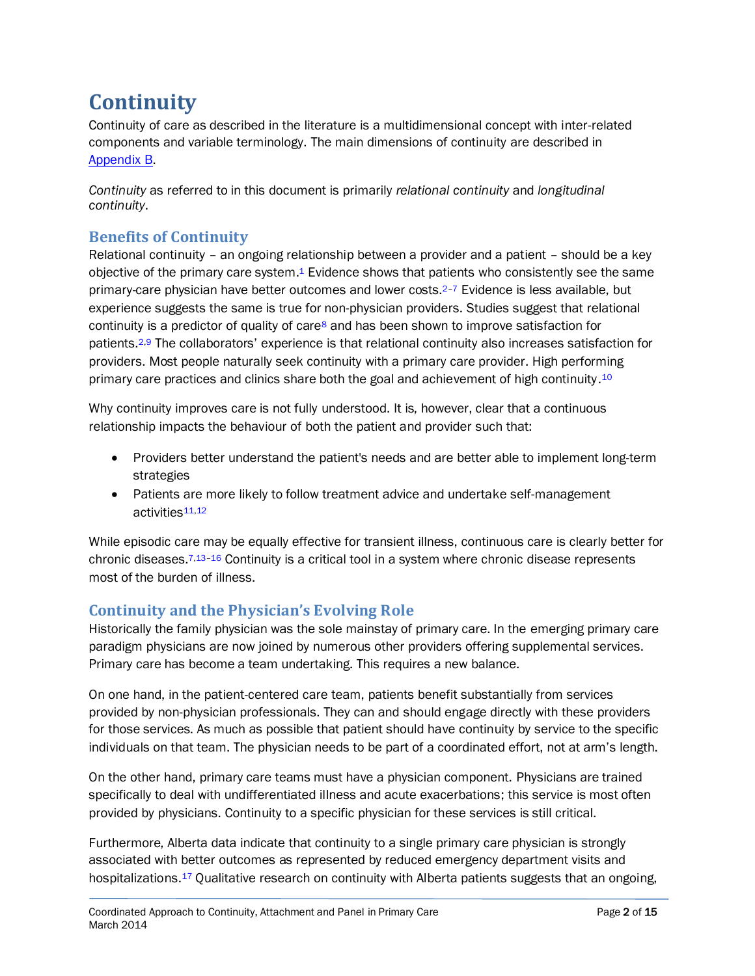# **Continuity**

Continuity of care as described in the literature is a multidimensional concept with inter-related components and variable terminology. The main dimensions of continuity are described in [Appendix B.](#page-13-0)

*Continuity* as referred to in this document is primarily *relational continuity* and *longitudinal continuity*.

# **Benefits of Continuity**

Relational continuity – an ongoing relationship between a provider and a patient – should be a key objective of the primary care system[.](#page-9-0)<sup>1</sup> Evidence shows that patients who consistently see the same primary-care physician have better outcomes and lower costs[.](#page-9-1)<sup>2-[7](#page-9-2)</sup> Evidence is less available, but experience suggests the same is true for non-physician providers. Studies suggest that relational continuity is a predictor of quality of care<sup>[8](#page-9-3)</sup> and has been shown to improve satisfaction for patients.<sup>[2,](#page-9-1)[9](#page-9-4)</sup> The collaborators' experience is that relational continuity also increases satisfaction for providers. Most people naturally seek continuity with a primary care provider. High performing primary care practices and clinics share both the goal and achievement of high continuity.<sup>[10](#page-9-5)</sup>

Why continuity improves care is not fully understood. It is, however, clear that a continuous relationship impacts the behaviour of both the patient and provider such that:

- Providers better understand the patient's needs and are better able to implement long-term strategies
- Patients are more likely to follow treatment advice and undertake self-management activities[11,](#page-9-6)[12](#page-9-7)

While episodic care may be equally effective for transient illness, continuous care is clearly better for chronic diseases.[7,](#page-9-2)[13](#page-9-8)–[16](#page-10-0) Continuity is a critical tool in a system where chronic disease represents most of the burden of illness.

# **Continuity and the Physician's Evolving Role**

Historically the family physician was the sole mainstay of primary care. In the emerging primary care paradigm physicians are now joined by numerous other providers offering supplemental services. Primary care has become a team undertaking. This requires a new balance.

On one hand, in the patient-centered care team, patients benefit substantially from services provided by non-physician professionals. They can and should engage directly with these providers for those services. As much as possible that patient should have continuity by service to the specific individuals on that team. The physician needs to be part of a coordinated effort, not at arm's length.

On the other hand, primary care teams must have a physician component. Physicians are trained specifically to deal with undifferentiated illness and acute exacerbations; this service is most often provided by physicians. Continuity to a specific physician for these services is still critical.

Furthermore, Alberta data indicate that continuity to a single primary care physician is strongly associated with better outcomes as represented by reduced emergency department visits and hospitalizations.<sup>[17](#page-10-1)</sup> Qualitative research on continuity with Alberta patients suggests that an ongoing,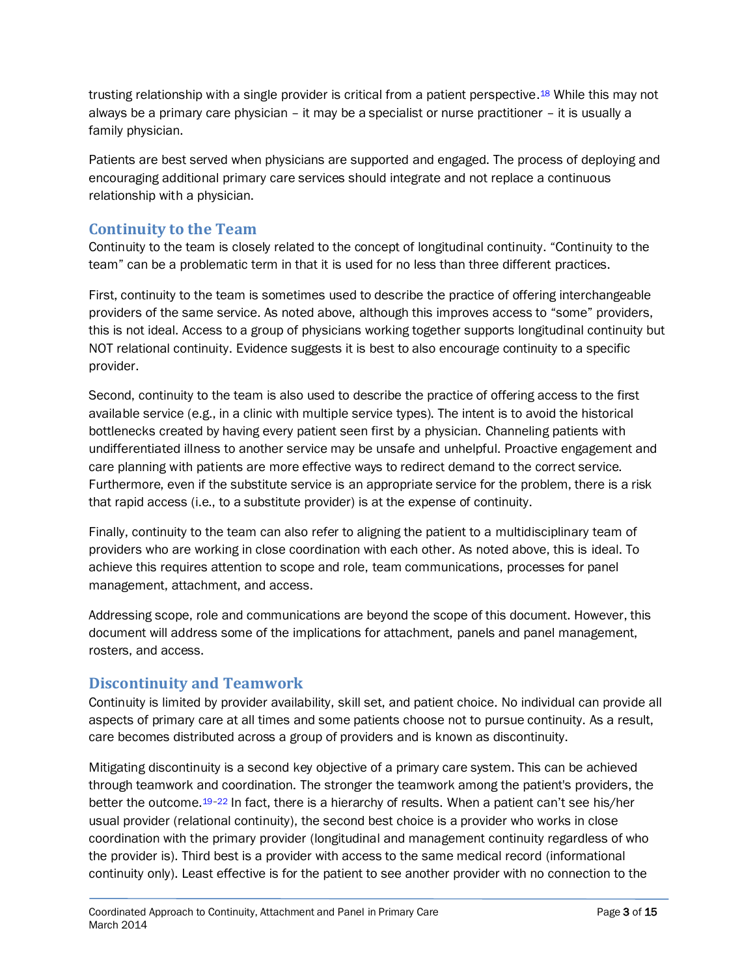trusting relationship with a single provider is critical from a patient perspective.<sup>[18](#page-10-2)</sup> While this may not always be a primary care physician – it may be a specialist or nurse practitioner – it is usually a family physician.

Patients are best served when physicians are supported and engaged. The process of deploying and encouraging additional primary care services should integrate and not replace a continuous relationship with a physician.

### **Continuity to the Team**

Continuity to the team is closely related to the concept of longitudinal continuity. "Continuity to the team" can be a problematic term in that it is used for no less than three different practices.

First, continuity to the team is sometimes used to describe the practice of offering interchangeable providers of the same service. As noted above, although this improves access to "some" providers, this is not ideal. Access to a group of physicians working together supports longitudinal continuity but NOT relational continuity. Evidence suggests it is best to also encourage continuity to a specific provider.

Second, continuity to the team is also used to describe the practice of offering access to the first available service (e.g., in a clinic with multiple service types). The intent is to avoid the historical bottlenecks created by having every patient seen first by a physician. Channeling patients with undifferentiated illness to another service may be unsafe and unhelpful. Proactive engagement and care planning with patients are more effective ways to redirect demand to the correct service. Furthermore, even if the substitute service is an appropriate service for the problem, there is a risk that rapid access (i.e., to a substitute provider) is at the expense of continuity.

Finally, continuity to the team can also refer to aligning the patient to a multidisciplinary team of providers who are working in close coordination with each other. As noted above, this is ideal. To achieve this requires attention to scope and role, team communications, processes for panel management, attachment, and access.

Addressing scope, role and communications are beyond the scope of this document. However, this document will address some of the implications for attachment, panels and panel management, rosters, and access.

# **Discontinuity and Teamwork**

Continuity is limited by provider availability, skill set, and patient choice. No individual can provide all aspects of primary care at all times and some patients choose not to pursue continuity. As a result, care becomes distributed across a group of providers and is known as discontinuity.

Mitigating discontinuity is a second key objective of a primary care system. This can be achieved through teamwork and coordination. The stronger the teamwork among the patient's providers, the better the outcome.[19](#page-10-3)–[22](#page-10-4) In fact, there is a hierarchy of results. When a patient can't see his/her usual provider (relational continuity), the second best choice is a provider who works in close coordination with the primary provider (longitudinal and management continuity regardless of who the provider is). Third best is a provider with access to the same medical record (informational continuity only). Least effective is for the patient to see another provider with no connection to the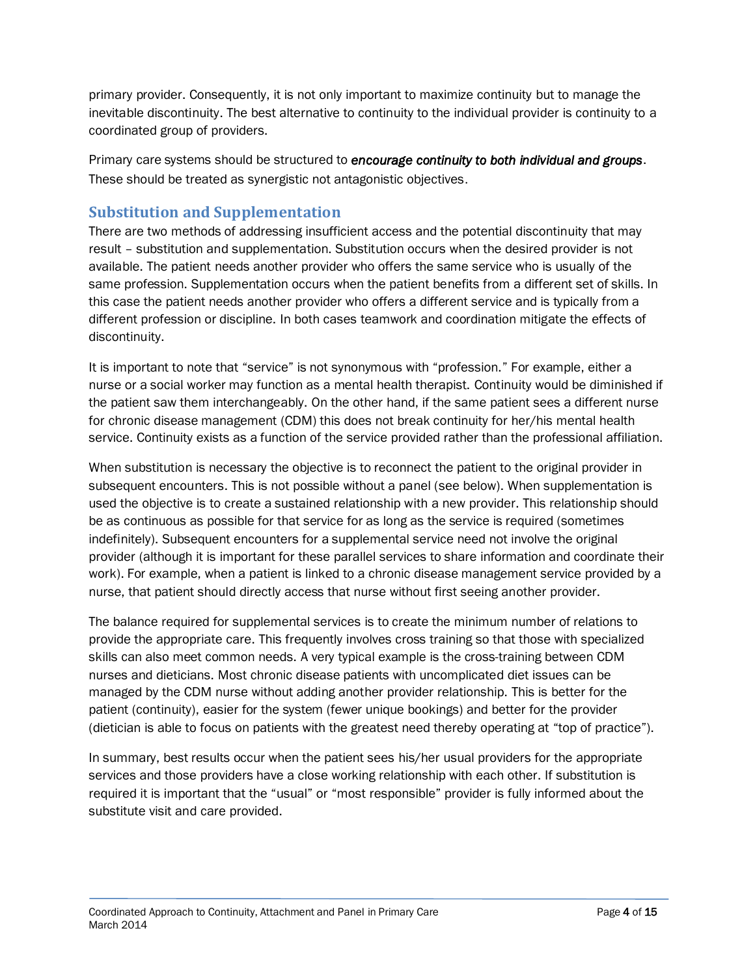primary provider. Consequently, it is not only important to maximize continuity but to manage the inevitable discontinuity. The best alternative to continuity to the individual provider is continuity to a coordinated group of providers.

Primary care systems should be structured to *encourage continuity to both individual and groups*. These should be treated as synergistic not antagonistic objectives.

# **Substitution and Supplementation**

There are two methods of addressing insufficient access and the potential discontinuity that may result – substitution and supplementation. Substitution occurs when the desired provider is not available. The patient needs another provider who offers the same service who is usually of the same profession. Supplementation occurs when the patient benefits from a different set of skills. In this case the patient needs another provider who offers a different service and is typically from a different profession or discipline. In both cases teamwork and coordination mitigate the effects of discontinuity.

It is important to note that "service" is not synonymous with "profession." For example, either a nurse or a social worker may function as a mental health therapist. Continuity would be diminished if the patient saw them interchangeably. On the other hand, if the same patient sees a different nurse for chronic disease management (CDM) this does not break continuity for her/his mental health service. Continuity exists as a function of the service provided rather than the professional affiliation.

When substitution is necessary the objective is to reconnect the patient to the original provider in subsequent encounters. This is not possible without a panel (see below). When supplementation is used the objective is to create a sustained relationship with a new provider. This relationship should be as continuous as possible for that service for as long as the service is required (sometimes indefinitely). Subsequent encounters for a supplemental service need not involve the original provider (although it is important for these parallel services to share information and coordinate their work). For example, when a patient is linked to a chronic disease management service provided by a nurse, that patient should directly access that nurse without first seeing another provider.

The balance required for supplemental services is to create the minimum number of relations to provide the appropriate care. This frequently involves cross training so that those with specialized skills can also meet common needs. A very typical example is the cross-training between CDM nurses and dieticians. Most chronic disease patients with uncomplicated diet issues can be managed by the CDM nurse without adding another provider relationship. This is better for the patient (continuity), easier for the system (fewer unique bookings) and better for the provider (dietician is able to focus on patients with the greatest need thereby operating at "top of practice").

In summary, best results occur when the patient sees his/her usual providers for the appropriate services and those providers have a close working relationship with each other. If substitution is required it is important that the "usual" or "most responsible" provider is fully informed about the substitute visit and care provided.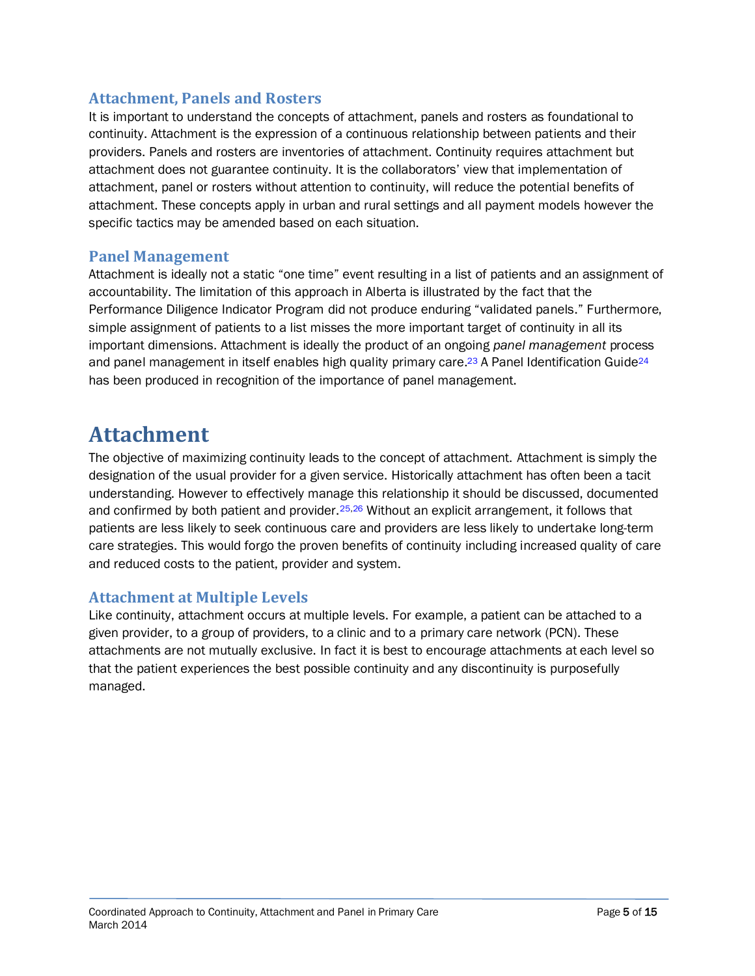### **Attachment, Panels and Rosters**

It is important to understand the concepts of attachment, panels and rosters as foundational to continuity. Attachment is the expression of a continuous relationship between patients and their providers. Panels and rosters are inventories of attachment. Continuity requires attachment but attachment does not guarantee continuity. It is the collaborators' view that implementation of attachment, panel or rosters without attention to continuity, will reduce the potential benefits of attachment. These concepts apply in urban and rural settings and all payment models however the specific tactics may be amended based on each situation.

#### **Panel Management**

Attachment is ideally not a static "one time" event resulting in a list of patients and an assignment of accountability. The limitation of this approach in Alberta is illustrated by the fact that the Performance Diligence Indicator Program did not produce enduring "validated panels." Furthermore, simple assignment of patients to a list misses the more important target of continuity in all its important dimensions. Attachment is ideally the product of an ongoing *panel management* process and panel management in itself enables high quality primary care.<sup>[23](#page-10-5)</sup> A Panel Identification Guide<sup>[24](#page-10-6)</sup> has been produced in recognition of the importance of panel management.

# **Attachment**

The objective of maximizing continuity leads to the concept of attachment. Attachment is simply the designation of the usual provider for a given service. Historically attachment has often been a tacit understanding. However to effectively manage this relationship it should be discussed, documented and confirmed by both patient and provider.[25](#page-10-7)[,26](#page-10-8) Without an explicit arrangement, it follows that patients are less likely to seek continuous care and providers are less likely to undertake long-term care strategies. This would forgo the proven benefits of continuity including increased quality of care and reduced costs to the patient, provider and system.

# **Attachment at Multiple Levels**

Like continuity, attachment occurs at multiple levels. For example, a patient can be attached to a given provider, to a group of providers, to a clinic and to a primary care network (PCN). These attachments are not mutually exclusive. In fact it is best to encourage attachments at each level so that the patient experiences the best possible continuity and any discontinuity is purposefully managed.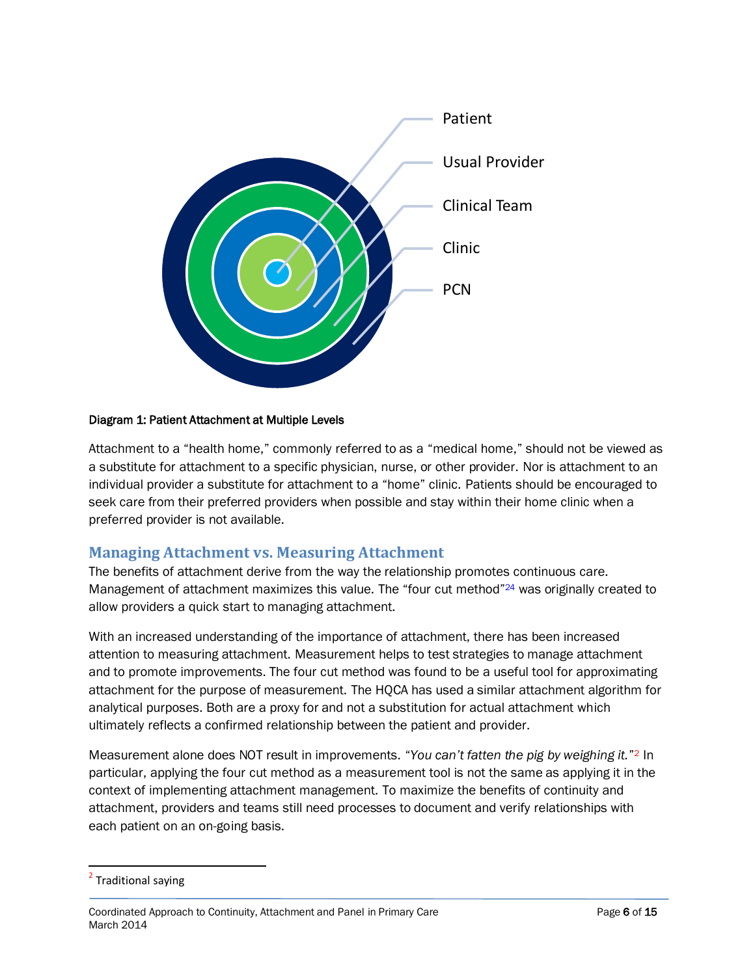

#### Diagram 1: Patient Attachment at Multiple Levels

Attachment to a "health home," commonly referred to as a "medical home," should not be viewed as a substitute for attachment to a specific physician, nurse, or other provider. Nor is attachment to an individual provider a substitute for attachment to a "home" clinic. Patients should be encouraged to seek care from their preferred providers when possible and stay within their home clinic when a preferred provider is not available.

#### **Managing Attachment vs. Measuring Attachment**

The benefits of attachment derive from the way the relationship promotes continuous care. Management of attachment maximizes this value. The "four cut method"<sup>[24](#page-10-6)</sup> was originally created to allow providers a quick start to managing attachment.

With an increased understanding of the importance of attachment, there has been increased attention to measuring attachment. Measurement helps to test strategies to manage attachment and to promote improvements. The four cut method was found to be a useful tool for approximating attachment for the purpose of measurement. The HQCA has used a similar attachment algorithm for analytical purposes. Both are a proxy for and not a substitution for actual attachment which ultimately reflects a confirmed relationship between the patient and provider.

Measurement alone does NOT result in improvements. "You can't fatten the pig by weighing it."<sup>2</sup> In particular, applying the four cut method as a measurement tool is not the same as applying it in the context of implementing attachment management. To maximize the benefits of continuity and attachment, providers and teams still need processes to document and verify relationships with each patient on an on-going basis.

 $\overline{a}$ 

<sup>&</sup>lt;sup>2</sup> Traditional saying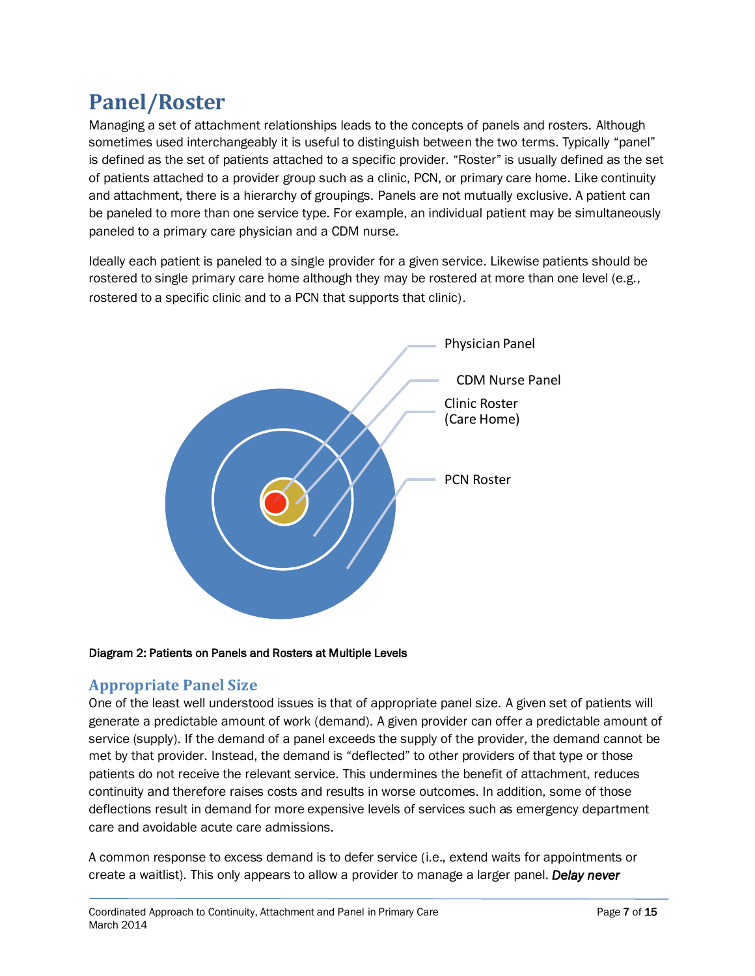# **Panel/Roster**

Managing a set of attachment relationships leads to the concepts of panels and rosters. Although sometimes used interchangeably it is useful to distinguish between the two terms. Typically "panel" is defined as the set of patients attached to a specific provider. "Roster" is usually defined as the set of patients attached to a provider group such as a clinic, PCN, or primary care home. Like continuity and attachment, there is a hierarchy of groupings. Panels are not mutually exclusive. A patient can be paneled to more than one service type. For example, an individual patient may be simultaneously paneled to a primary care physician and a CDM nurse.

Ideally each patient is paneled to a single provider for a given service. Likewise patients should be rostered to single primary care home although they may be rostered at more than one level (e.g., rostered to a specific clinic and to a PCN that supports that clinic).



#### Diagram 2: Patients on Panels and Rosters at Multiple Levels

# **Appropriate Panel Size**

One of the least well understood issues is that of appropriate panel size. A given set of patients will generate a predictable amount of work (demand). A given provider can offer a predictable amount of service (supply). If the demand of a panel exceeds the supply of the provider, the demand cannot be met by that provider. Instead, the demand is "deflected" to other providers of that type or those patients do not receive the relevant service. This undermines the benefit of attachment, reduces continuity and therefore raises costs and results in worse outcomes. In addition, some of those deflections result in demand for more expensive levels of services such as emergency department care and avoidable acute care admissions.

A common response to excess demand is to defer service (i.e., extend waits for appointments or create a waitlist). This only appears to allow a provider to manage a larger panel. *Delay never*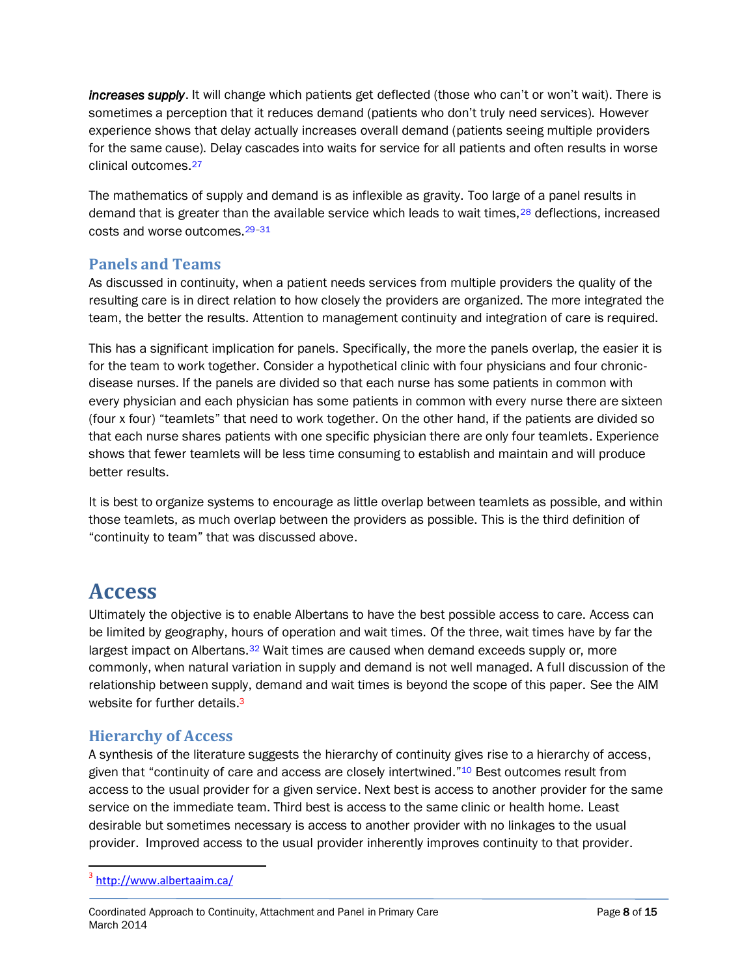*increases supply*. It will change which patients get deflected (those who can't or won't wait). There is sometimes a perception that it reduces demand (patients who don't truly need services). However experience shows that delay actually increases overall demand (patients seeing multiple providers for the same cause). Delay cascades into waits for service for all patients and often results in worse clinical outcomes.[27](#page-10-9)

The mathematics of supply and demand is as inflexible as gravity. Too large of a panel results in demand that is greater than the available service which leads to wait times,<sup>[28](#page-10-10)</sup> deflections, increased costs and worse outcomes.[29](#page-11-1)–[31](#page-11-2)

### **Panels and Teams**

As discussed in continuity, when a patient needs services from multiple providers the quality of the resulting care is in direct relation to how closely the providers are organized. The more integrated the team, the better the results. Attention to management continuity and integration of care is required.

This has a significant implication for panels. Specifically, the more the panels overlap, the easier it is for the team to work together. Consider a hypothetical clinic with four physicians and four chronicdisease nurses. If the panels are divided so that each nurse has some patients in common with every physician and each physician has some patients in common with every nurse there are sixteen (four x four) "teamlets" that need to work together. On the other hand, if the patients are divided so that each nurse shares patients with one specific physician there are only four teamlets. Experience shows that fewer teamlets will be less time consuming to establish and maintain and will produce better results.

It is best to organize systems to encourage as little overlap between teamlets as possible, and within those teamlets, as much overlap between the providers as possible. This is the third definition of "continuity to team" that was discussed above.

# **Access**

Ultimately the objective is to enable Albertans to have the best possible access to care. Access can be limited by geography, hours of operation and wait times. Of the three, wait times have by far the largest impact on Albertans.<sup>[32](#page-11-3)</sup> Wait times are caused when demand exceeds supply or, more commonly, when natural variation in supply and demand is not well managed. A full discussion of the relationship between supply, demand and wait times is beyond the scope of this paper. See the AIM website for further details.<sup>3</sup>

# **Hierarchy of Access**

A synthesis of the literature suggests the hierarchy of continuity gives rise to a hierarchy of access, given that "continuity of care and access are closely intertwined."<sup>[10](#page-9-5)</sup> Best outcomes result from access to the usual provider for a given service. Next best is access to another provider for the same service on the immediate team. Third best is access to the same clinic or health home. Least desirable but sometimes necessary is access to another provider with no linkages to the usual provider. Improved access to the usual provider inherently improves continuity to that provider.

 $\overline{a}$ 

<sup>&</sup>lt;sup>3</sup> <http://www.albertaaim.ca/>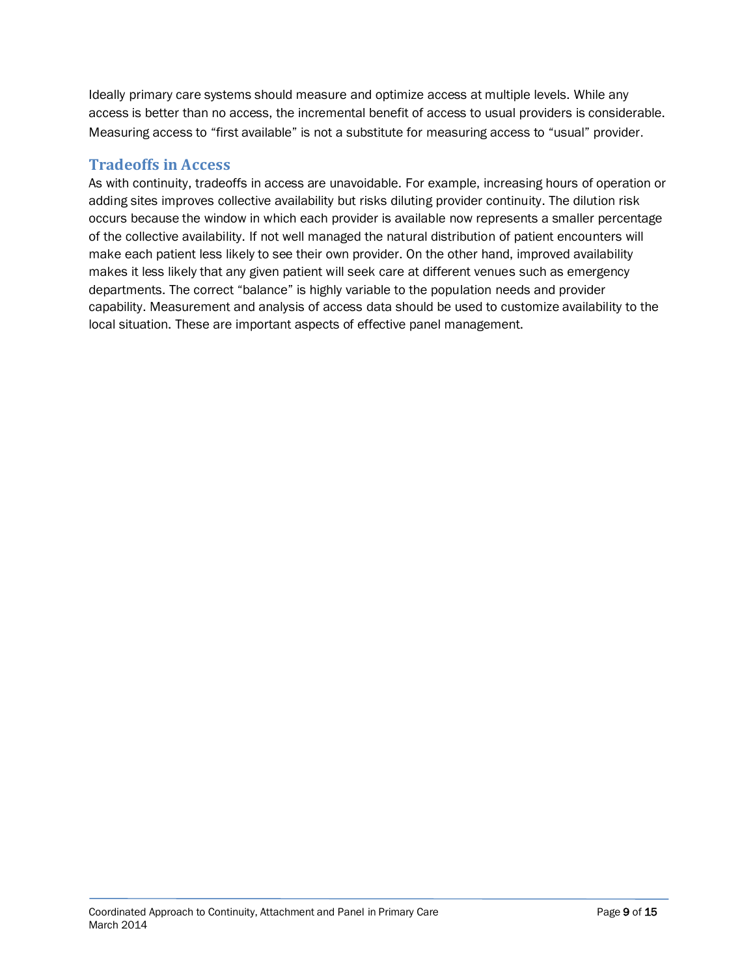Ideally primary care systems should measure and optimize access at multiple levels. While any access is better than no access, the incremental benefit of access to usual providers is considerable. Measuring access to "first available" is not a substitute for measuring access to "usual" provider.

#### **Tradeoffs in Access**

As with continuity, tradeoffs in access are unavoidable. For example, increasing hours of operation or adding sites improves collective availability but risks diluting provider continuity. The dilution risk occurs because the window in which each provider is available now represents a smaller percentage of the collective availability. If not well managed the natural distribution of patient encounters will make each patient less likely to see their own provider. On the other hand, improved availability makes it less likely that any given patient will seek care at different venues such as emergency departments. The correct "balance" is highly variable to the population needs and provider capability. Measurement and analysis of access data should be used to customize availability to the local situation. These are important aspects of effective panel management.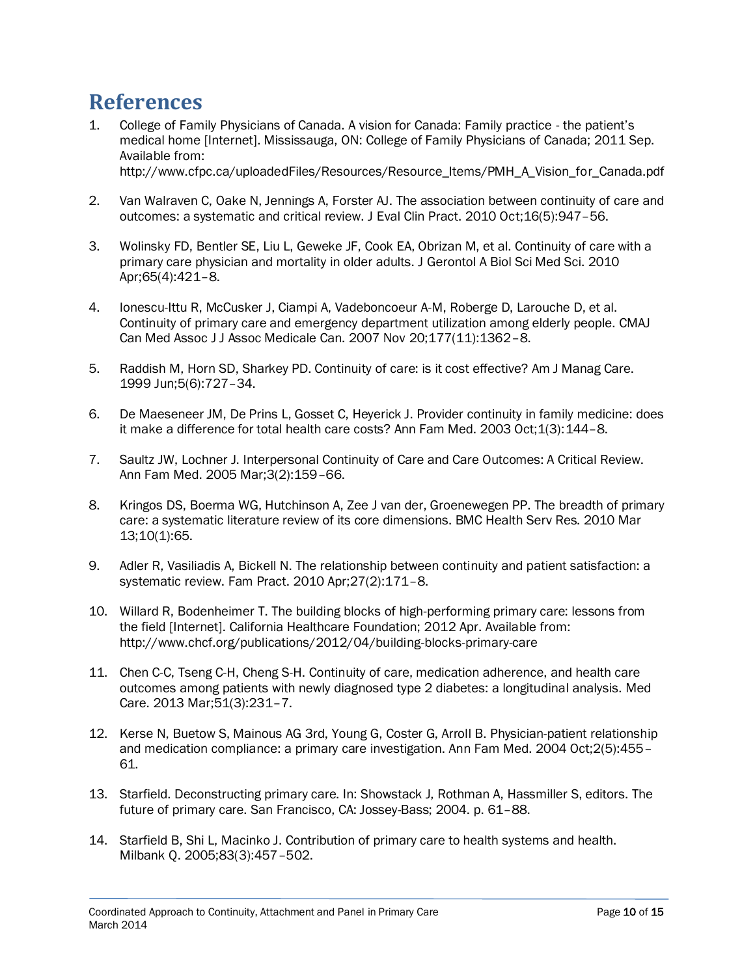# **References**

- <span id="page-9-0"></span>1. College of Family Physicians of Canada. A vision for Canada: Family practice - the patient's medical home [Internet]. Mississauga, ON: College of Family Physicians of Canada; 2011 Sep. Available from: http://www.cfpc.ca/uploadedFiles/Resources/Resource\_Items/PMH\_A\_Vision\_for\_Canada.pdf
- <span id="page-9-1"></span>2. Van Walraven C, Oake N, Jennings A, Forster AJ. The association between continuity of care and outcomes: a systematic and critical review. J Eval Clin Pract. 2010 Oct;16(5):947–56.
- 3. Wolinsky FD, Bentler SE, Liu L, Geweke JF, Cook EA, Obrizan M, et al. Continuity of care with a primary care physician and mortality in older adults. J Gerontol A Biol Sci Med Sci. 2010 Apr;65(4):421–8.
- 4. Ionescu-Ittu R, McCusker J, Ciampi A, Vadeboncoeur A-M, Roberge D, Larouche D, et al. Continuity of primary care and emergency department utilization among elderly people. CMAJ Can Med Assoc J J Assoc Medicale Can. 2007 Nov 20;177(11):1362–8.
- 5. Raddish M, Horn SD, Sharkey PD. Continuity of care: is it cost effective? Am J Manag Care. 1999 Jun;5(6):727–34.
- 6. De Maeseneer JM, De Prins L, Gosset C, Heyerick J. Provider continuity in family medicine: does it make a difference for total health care costs? Ann Fam Med. 2003 Oct;1(3):144-8.
- <span id="page-9-2"></span>7. Saultz JW, Lochner J. Interpersonal Continuity of Care and Care Outcomes: A Critical Review. Ann Fam Med. 2005 Mar;3(2):159–66.
- <span id="page-9-3"></span>8. Kringos DS, Boerma WG, Hutchinson A, Zee J van der, Groenewegen PP. The breadth of primary care: a systematic literature review of its core dimensions. BMC Health Serv Res. 2010 Mar 13;10(1):65.
- <span id="page-9-4"></span>9. Adler R, Vasiliadis A, Bickell N. The relationship between continuity and patient satisfaction: a systematic review. Fam Pract. 2010 Apr;27(2):171–8.
- <span id="page-9-5"></span>10. Willard R, Bodenheimer T. The building blocks of high-performing primary care: lessons from the field [Internet]. California Healthcare Foundation; 2012 Apr. Available from: http://www.chcf.org/publications/2012/04/building-blocks-primary-care
- <span id="page-9-6"></span>11. Chen C-C, Tseng C-H, Cheng S-H. Continuity of care, medication adherence, and health care outcomes among patients with newly diagnosed type 2 diabetes: a longitudinal analysis. Med Care. 2013 Mar;51(3):231–7.
- <span id="page-9-7"></span>12. Kerse N, Buetow S, Mainous AG 3rd, Young G, Coster G, Arroll B. Physician-patient relationship and medication compliance: a primary care investigation. Ann Fam Med. 2004 Oct;2(5):455– 61.
- <span id="page-9-8"></span>13. Starfield. Deconstructing primary care. In: Showstack J, Rothman A, Hassmiller S, editors. The future of primary care. San Francisco, CA: Jossey-Bass; 2004. p. 61–88.
- 14. Starfield B, Shi L, Macinko J. Contribution of primary care to health systems and health. Milbank Q. 2005;83(3):457–502.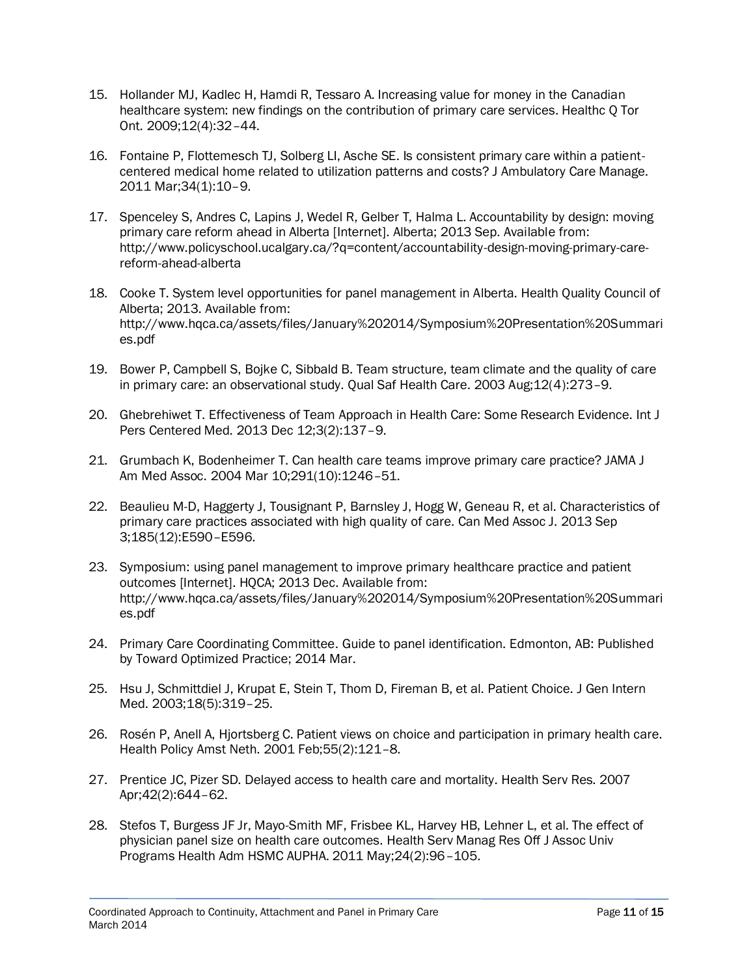- 15. Hollander MJ, Kadlec H, Hamdi R, Tessaro A. Increasing value for money in the Canadian healthcare system: new findings on the contribution of primary care services. Healthc Q Tor Ont. 2009;12(4):32–44.
- <span id="page-10-0"></span>16. Fontaine P, Flottemesch TJ, Solberg LI, Asche SE. Is consistent primary care within a patientcentered medical home related to utilization patterns and costs? J Ambulatory Care Manage. 2011 Mar;34(1):10–9.
- <span id="page-10-1"></span>17. Spenceley S, Andres C, Lapins J, Wedel R, Gelber T, Halma L. Accountability by design: moving primary care reform ahead in Alberta [Internet]. Alberta; 2013 Sep. Available from: http://www.policyschool.ucalgary.ca/?q=content/accountability-design-moving-primary-carereform-ahead-alberta
- <span id="page-10-2"></span>18. Cooke T. System level opportunities for panel management in Alberta. Health Quality Council of Alberta; 2013. Available from: http://www.hqca.ca/assets/files/January%202014/Symposium%20Presentation%20Summari es.pdf
- <span id="page-10-3"></span>19. Bower P, Campbell S, Bojke C, Sibbald B. Team structure, team climate and the quality of care in primary care: an observational study. Qual Saf Health Care. 2003 Aug;12(4):273–9.
- 20. Ghebrehiwet T. Effectiveness of Team Approach in Health Care: Some Research Evidence. Int J Pers Centered Med. 2013 Dec 12;3(2):137–9.
- 21. Grumbach K, Bodenheimer T. Can health care teams improve primary care practice? JAMA J Am Med Assoc. 2004 Mar 10;291(10):1246–51.
- <span id="page-10-4"></span>22. Beaulieu M-D, Haggerty J, Tousignant P, Barnsley J, Hogg W, Geneau R, et al. Characteristics of primary care practices associated with high quality of care. Can Med Assoc J. 2013 Sep 3;185(12):E590–E596.
- <span id="page-10-5"></span>23. Symposium: using panel management to improve primary healthcare practice and patient outcomes [Internet]. HQCA; 2013 Dec. Available from: http://www.hqca.ca/assets/files/January%202014/Symposium%20Presentation%20Summari es.pdf
- <span id="page-10-6"></span>24. Primary Care Coordinating Committee. Guide to panel identification. Edmonton, AB: Published by Toward Optimized Practice; 2014 Mar.
- <span id="page-10-7"></span>25. Hsu J, Schmittdiel J, Krupat E, Stein T, Thom D, Fireman B, et al. Patient Choice. J Gen Intern Med. 2003;18(5):319–25.
- <span id="page-10-8"></span>26. Rosén P, Anell A, Hjortsberg C. Patient views on choice and participation in primary health care. Health Policy Amst Neth. 2001 Feb;55(2):121–8.
- <span id="page-10-9"></span>27. Prentice JC, Pizer SD. Delayed access to health care and mortality. Health Serv Res. 2007 Apr;42(2):644–62.
- <span id="page-10-10"></span>28. Stefos T, Burgess JF Jr, Mayo-Smith MF, Frisbee KL, Harvey HB, Lehner L, et al. The effect of physician panel size on health care outcomes. Health Serv Manag Res Off J Assoc Univ Programs Health Adm HSMC AUPHA. 2011 May;24(2):96–105.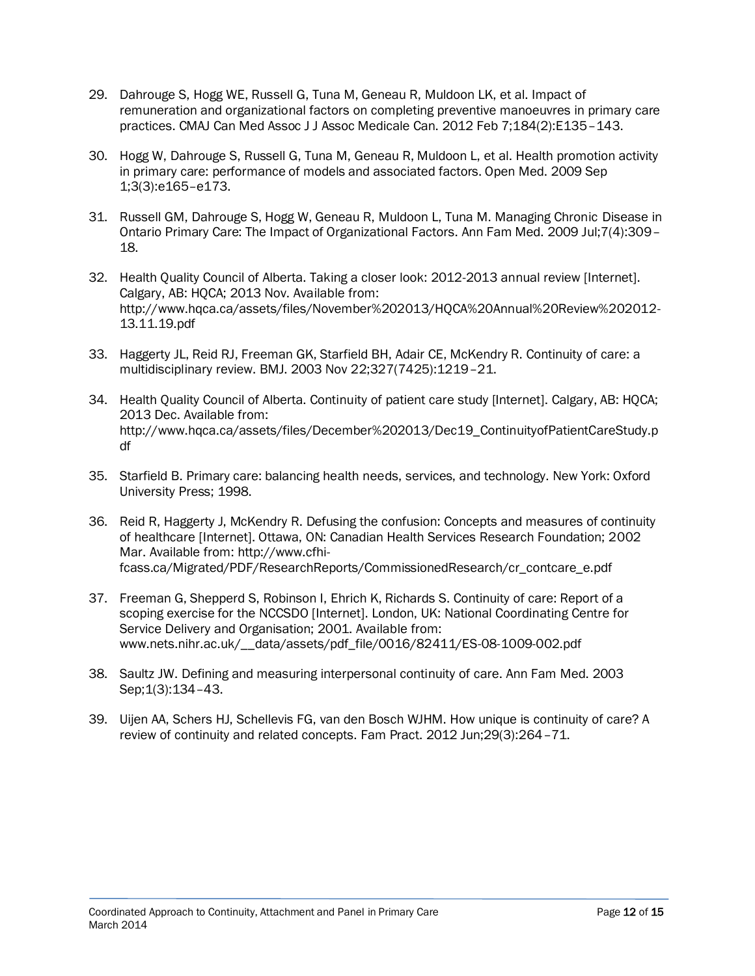- <span id="page-11-1"></span>29. Dahrouge S, Hogg WE, Russell G, Tuna M, Geneau R, Muldoon LK, et al. Impact of remuneration and organizational factors on completing preventive manoeuvres in primary care practices. CMAJ Can Med Assoc J J Assoc Medicale Can. 2012 Feb 7;184(2):E135–143.
- 30. Hogg W, Dahrouge S, Russell G, Tuna M, Geneau R, Muldoon L, et al. Health promotion activity in primary care: performance of models and associated factors. Open Med. 2009 Sep 1;3(3):e165–e173.
- <span id="page-11-2"></span>31. Russell GM, Dahrouge S, Hogg W, Geneau R, Muldoon L, Tuna M. Managing Chronic Disease in Ontario Primary Care: The Impact of Organizational Factors. Ann Fam Med. 2009 Jul;7(4):309– 18.
- <span id="page-11-3"></span>32. Health Quality Council of Alberta. Taking a closer look: 2012-2013 annual review [Internet]. Calgary, AB: HOCA: 2013 Nov. Available from: http://www.hqca.ca/assets/files/November%202013/HQCA%20Annual%20Review%202012- 13.11.19.pdf
- <span id="page-11-4"></span>33. Haggerty JL, Reid RJ, Freeman GK, Starfield BH, Adair CE, McKendry R. Continuity of care: a multidisciplinary review. BMJ. 2003 Nov 22;327(7425):1219–21.
- <span id="page-11-5"></span>34. Health Quality Council of Alberta. Continuity of patient care study [Internet]. Calgary, AB: HQCA; 2013 Dec. Available from: http://www.hqca.ca/assets/files/December%202013/Dec19\_ContinuityofPatientCareStudy.p df
- <span id="page-11-6"></span>35. Starfield B. Primary care: balancing health needs, services, and technology. New York: Oxford University Press; 1998.
- 36. Reid R, Haggerty J, McKendry R. Defusing the confusion: Concepts and measures of continuity of healthcare [Internet]. Ottawa, ON: Canadian Health Services Research Foundation; 2002 Mar. Available from: http://www.cfhifcass.ca/Migrated/PDF/ResearchReports/CommissionedResearch/cr\_contcare\_e.pdf
- 37. Freeman G, Shepperd S, Robinson I, Ehrich K, Richards S. Continuity of care: Report of a scoping exercise for the NCCSDO [Internet]. London, UK: National Coordinating Centre for Service Delivery and Organisation; 2001. Available from: www.nets.nihr.ac.uk/\_\_data/assets/pdf\_file/0016/82411/ES-08-1009-002.pdf
- 38. Saultz JW. Defining and measuring interpersonal continuity of care. Ann Fam Med. 2003 Sep;1(3):134–43.
- <span id="page-11-7"></span><span id="page-11-0"></span>39. Uijen AA, Schers HJ, Schellevis FG, van den Bosch WJHM. How unique is continuity of care? A review of continuity and related concepts. Fam Pract. 2012 Jun;29(3):264–71.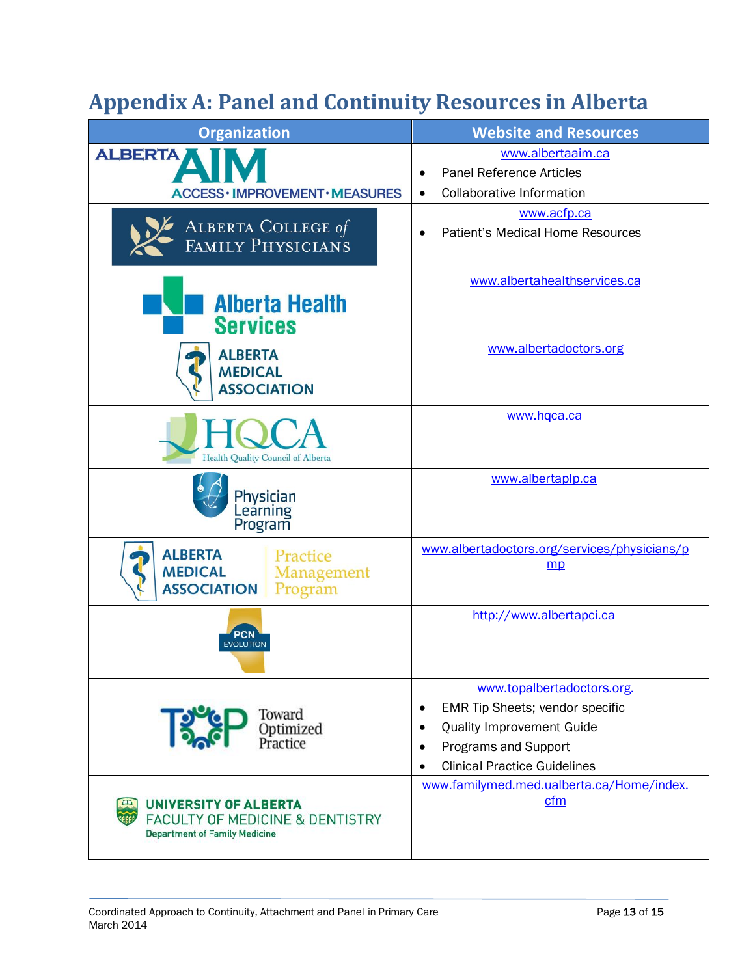# **Appendix A: Panel and Continuity Resources in Alberta**

| <b>Organization</b>                                                                                                | <b>Website and Resources</b>                                                                                                                                                                 |  |  |
|--------------------------------------------------------------------------------------------------------------------|----------------------------------------------------------------------------------------------------------------------------------------------------------------------------------------------|--|--|
| <b>ALBERTA</b><br>ACCESS · IMPROVEMENT · MEASURES                                                                  | www.albertaaim.ca<br><b>Panel Reference Articles</b><br>Collaborative Information<br>$\bullet$                                                                                               |  |  |
| ALBERTA COLLEGE of<br>FAMILY PHYSICIANS                                                                            | www.acfp.ca<br><b>Patient's Medical Home Resources</b>                                                                                                                                       |  |  |
| <b>Alberta Health</b><br><b>Services</b>                                                                           | www.albertahealthservices.ca                                                                                                                                                                 |  |  |
| <b>ALBERTA</b><br><b>MEDICAL</b><br><b>ASSOCIATION</b>                                                             | www.albertadoctors.org                                                                                                                                                                       |  |  |
| Health Quality Council of Alberta                                                                                  | www.hqca.ca                                                                                                                                                                                  |  |  |
| Physician<br>Learning<br>Program                                                                                   | www.albertaplp.ca                                                                                                                                                                            |  |  |
| <b>ALBERTA</b><br>Practice<br><b>MEDICAL</b><br>Management<br><b>ASSOCIATION</b><br>Program                        | www.albertadoctors.org/services/physicians/p<br>mp                                                                                                                                           |  |  |
| PCN<br><b>EVOLUTION</b>                                                                                            | http://www.albertapci.ca                                                                                                                                                                     |  |  |
| Toward<br>13<br>Optimized<br>Practice                                                                              | www.topalbertadoctors.org.<br>EMR Tip Sheets; vendor specific<br>٠<br><b>Quality Improvement Guide</b><br>٠<br>Programs and Support<br>٠<br><b>Clinical Practice Guidelines</b><br>$\bullet$ |  |  |
| <b>UNIVERSITY OF ALBERTA</b><br><b>FACULTY OF MEDICINE &amp; DENTISTRY</b><br><b>Department of Family Medicine</b> | www.familymed.med.ualberta.ca/Home/index.<br>cfm                                                                                                                                             |  |  |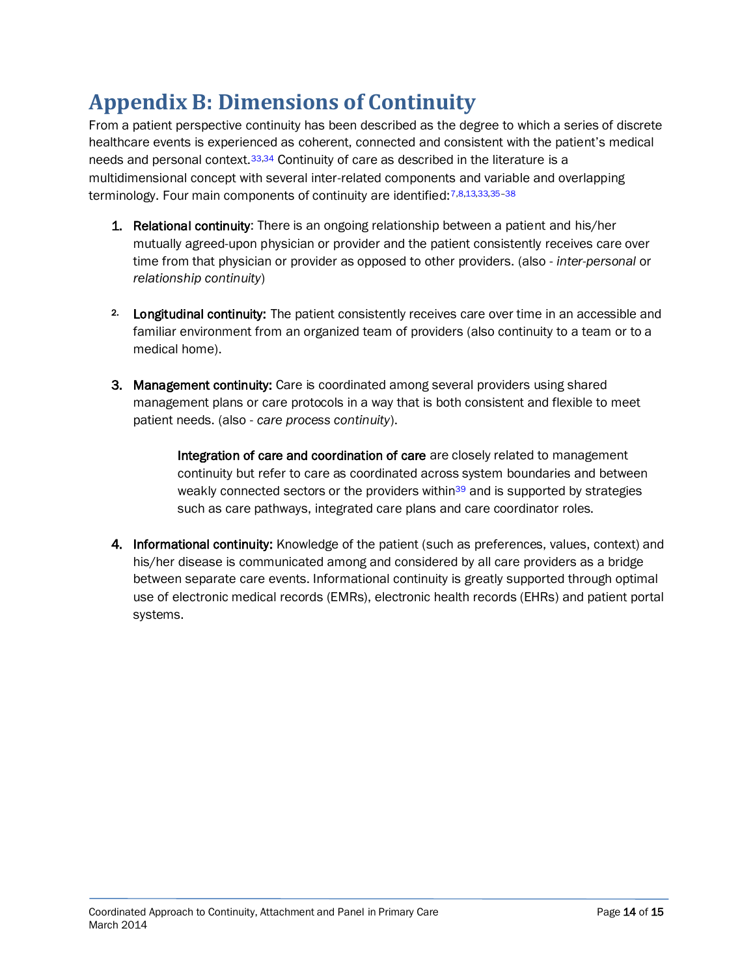# <span id="page-13-0"></span>**Appendix B: Dimensions of Continuity**

From a patient perspective continuity has been described as the degree to which a series of discrete healthcare events is experienced as coherent, connected and consistent with the patient's medical needs and personal context.[33](#page-11-4)[,34](#page-11-5) Continuity of care as described in the literature is a multidimensional concept with several inter-related components and variable and overlapping terminology. Four main components of continuity are identified: [7,](#page-9-2)[8,](#page-9-3)[13](#page-9-8)[,33](#page-11-4)[,35](#page-11-6)-38

- 1. Relational continuity: There is an ongoing relationship between a patient and his/her mutually agreed-upon physician or provider and the patient consistently receives care over time from that physician or provider as opposed to other providers. (also - *inter-personal* or *relationship continuity*)
- 2. Longitudinal continuity: The patient consistently receives care over time in an accessible and familiar environment from an organized team of providers (also continuity to a team or to a medical home).
- 3. Management continuity: Care is coordinated among several providers using shared management plans or care protocols in a way that is both consistent and flexible to meet patient needs. (also - *care process continuity*).

Integration of care and coordination of care are closely related to management continuity but refer to care as coordinated across system boundaries and between weakly connected sectors or the providers within<sup>[39](#page-11-7)</sup> and is supported by strategies such as care pathways, integrated care plans and care coordinator roles.

4. Informational continuity: Knowledge of the patient (such as preferences, values, context) and his/her disease is communicated among and considered by all care providers as a bridge between separate care events. Informational continuity is greatly supported through optimal use of electronic medical records (EMRs), electronic health records (EHRs) and patient portal systems.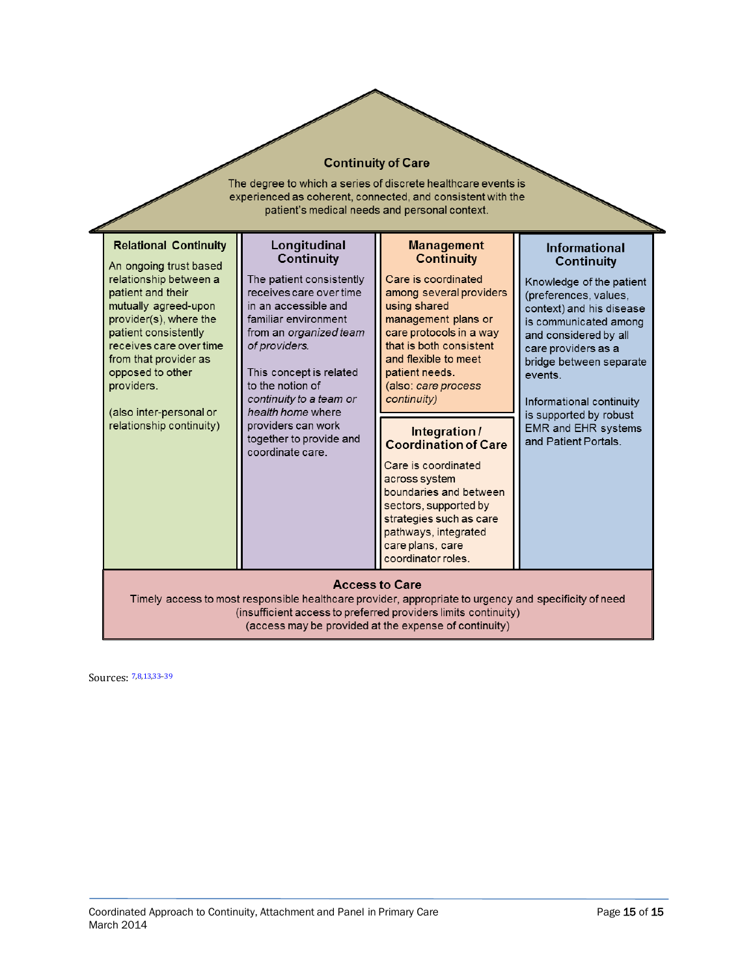#### **Continuity of Care**

The degree to which a series of discrete healthcare events is experienced as coherent, connected, and consistent with the patient's medical needs and personal context.

| <b>Relational Continuity</b><br>An ongoing trust based<br>relationship between a<br>patient and their<br>mutually agreed-upon<br>provider(s), where the<br>patient consistently<br>receives care over time<br>from that provider as<br>opposed to other<br>providers.<br>(also inter-personal or<br>relationship continuity) | Longitudinal<br><b>Continuity</b><br>The patient consistently<br>receives care over time<br>in an accessible and<br>familiar environment<br>from an organized team<br>of providers.<br>This concept is related<br>to the notion of<br>continuity to a team or<br>health home where<br>providers can work<br>together to provide and<br>coordinate care. | <b>Management</b><br><b>Continuity</b><br>Care is coordinated<br>among several providers<br>using shared<br>management plans or<br>care protocols in a way<br>that is both consistent<br>and flexible to meet<br>patient needs.<br>(also: care process<br>continuity)<br>Integration/<br><b>Coordination of Care</b><br>Care is coordinated<br>across system<br>boundaries and between<br>sectors, supported by<br>strategies such as care<br>pathways, integrated<br>care plans, care<br>coordinator roles. | <b>Informational</b><br><b>Continuity</b><br>Knowledge of the patient<br>(preferences, values,<br>context) and his disease<br>is communicated among<br>and considered by all<br>care providers as a<br>bridge between separate<br>events.<br>Informational continuity<br>is supported by robust<br><b>EMR and EHR systems</b><br>and Patient Portals. |
|------------------------------------------------------------------------------------------------------------------------------------------------------------------------------------------------------------------------------------------------------------------------------------------------------------------------------|---------------------------------------------------------------------------------------------------------------------------------------------------------------------------------------------------------------------------------------------------------------------------------------------------------------------------------------------------------|--------------------------------------------------------------------------------------------------------------------------------------------------------------------------------------------------------------------------------------------------------------------------------------------------------------------------------------------------------------------------------------------------------------------------------------------------------------------------------------------------------------|-------------------------------------------------------------------------------------------------------------------------------------------------------------------------------------------------------------------------------------------------------------------------------------------------------------------------------------------------------|
| <b>Access to Care</b><br>Timely access to most responsible healthcare provider, appropriate to urgency and specificity of need<br>(insufficient access to preferred providers limits continuity)<br>(access may be provided at the expense of continuity)                                                                    |                                                                                                                                                                                                                                                                                                                                                         |                                                                                                                                                                                                                                                                                                                                                                                                                                                                                                              |                                                                                                                                                                                                                                                                                                                                                       |

Sources: [7,](#page-9-2)[8,](#page-9-3)[13,](#page-9-8)[33](#page-11-4)–[39](#page-11-7)

j